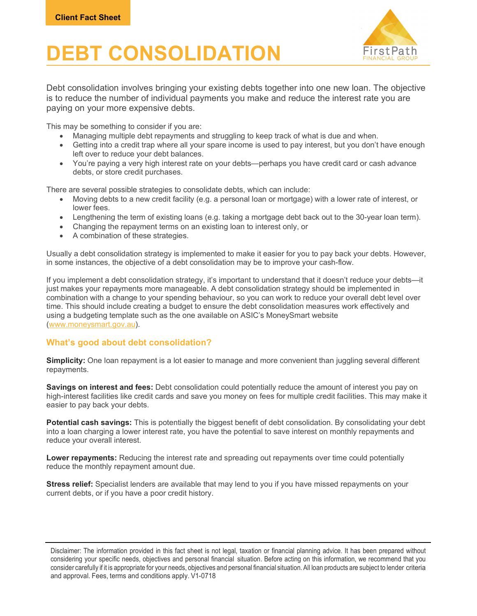## DEBT CONSOLIDATION



Debt consolidation involves bringing your existing debts together into one new loan. The objective is to reduce the number of individual payments you make and reduce the interest rate you are paying on your more expensive debts.

This may be something to consider if you are:

- Managing multiple debt repayments and struggling to keep track of what is due and when.
- Getting into a credit trap where all your spare income is used to pay interest, but you don't have enough left over to reduce your debt balances.
- You're paying a very high interest rate on your debts—perhaps you have credit card or cash advance debts, or store credit purchases.

There are several possible strategies to consolidate debts, which can include:

- Moving debts to a new credit facility (e.g. a personal loan or mortgage) with a lower rate of interest, or lower fees.
- Lengthening the term of existing loans (e.g. taking a mortgage debt back out to the 30-year loan term).
- Changing the repayment terms on an existing loan to interest only, or
- A combination of these strategies.

Usually a debt consolidation strategy is implemented to make it easier for you to pay back your debts. However, in some instances, the objective of a debt consolidation may be to improve your cash-flow.

If you implement a debt consolidation strategy, it's important to understand that it doesn't reduce your debts—it just makes your repayments more manageable. A debt consolidation strategy should be implemented in combination with a change to your spending behaviour, so you can work to reduce your overall debt level over time. This should include creating a budget to ensure the debt consolidation measures work effectively and using a budgeting template such as the one available on ASIC's MoneySmart website (www.moneysmart.gov.au).

## What's good about debt consolidation?

Simplicity: One loan repayment is a lot easier to manage and more convenient than juggling several different repayments.

Savings on interest and fees: Debt consolidation could potentially reduce the amount of interest you pay on high-interest facilities like credit cards and save you money on fees for multiple credit facilities. This may make it easier to pay back your debts.

Potential cash savings: This is potentially the biggest benefit of debt consolidation. By consolidating your debt into a loan charging a lower interest rate, you have the potential to save interest on monthly repayments and reduce your overall interest.

Lower repayments: Reducing the interest rate and spreading out repayments over time could potentially reduce the monthly repayment amount due.

Stress relief: Specialist lenders are available that may lend to you if you have missed repayments on your current debts, or if you have a poor credit history.

Disclaimer: The information provided in this fact sheet is not legal, taxation or financial planning advice. It has been prepared without considering your specific needs, objectives and personal financial situation. Before acting on this information, we recommend that you consider carefully if it is appropriate for your needs, objectives and personal financial situation. All loan products are subject to lender criteria and approval. Fees, terms and conditions apply. V1-0718